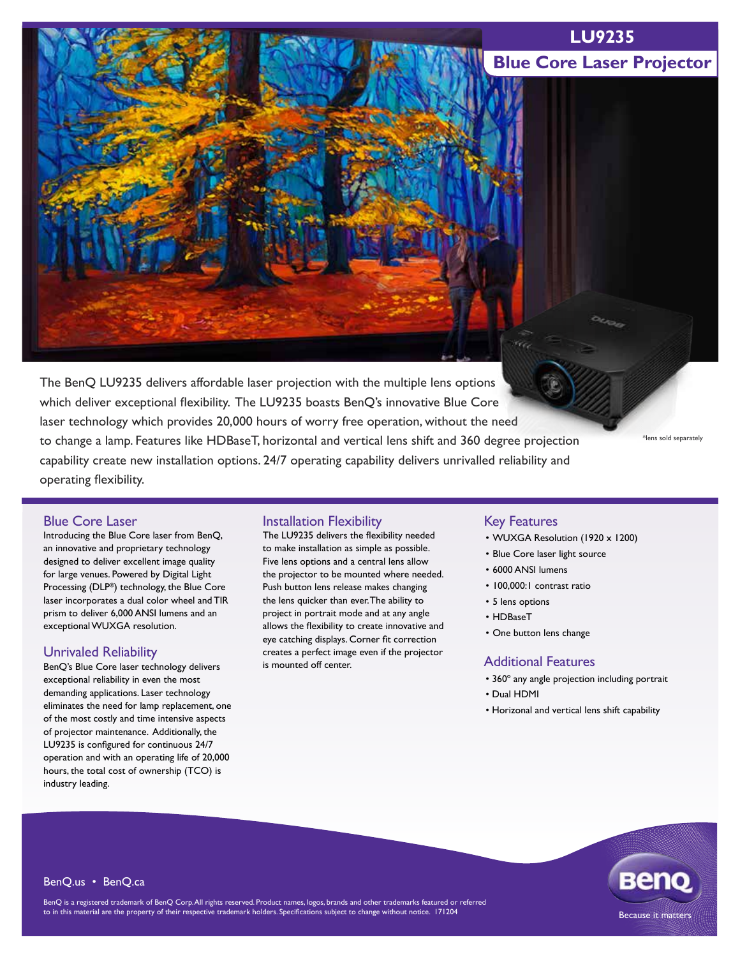### **LU9235**

## **Blue Core Laser Projector**

The BenQ LU9235 delivers affordable laser projection with the multiple lens options which deliver exceptional flexibility. The LU9235 boasts BenQ's innovative Blue Core laser technology which provides 20,000 hours of worry free operation, without the need to change a lamp. Features like HDBaseT, horizontal and vertical lens shift and 360 degree projection capability create new installation options. 24/7 operating capability delivers unrivalled reliability and operating flexibility.

\*lens sold separately

#### Blue Core Laser

Introducing the Blue Core laser from BenQ, an innovative and proprietary technology designed to deliver excellent image quality for large venues. Powered by Digital Light Processing (DLP®) technology, the Blue Core laser incorporates a dual color wheel and TIR prism to deliver 6,000 ANSI lumens and an exceptional WUXGA resolution.

#### Unrivaled Reliability

BenQ's Blue Core laser technology delivers exceptional reliability in even the most demanding applications. Laser technology eliminates the need for lamp replacement, one of the most costly and time intensive aspects of projector maintenance. Additionally, the LU9235 is configured for continuous 24/7 operation and with an operating life of 20,000 hours, the total cost of ownership (TCO) is industry leading.

#### Installation Flexibility

The LU9235 delivers the flexibility needed to make installation as simple as possible. Five lens options and a central lens allow the projector to be mounted where needed. Push button lens release makes changing the lens quicker than ever. The ability to project in portrait mode and at any angle allows the flexibility to create innovative and eye catching displays. Corner fit correction creates a perfect image even if the projector is mounted off center.

### Key Features

- WUXGA Resolution (1920 x 1200)
- Blue Core laser light source
- 6000 ANSI lumens
- 100,000:1 contrast ratio
- 5 lens options
- HDBaseT
- One button lens change

#### Additional Features

- 360º any angle projection including portrait
- Dual HDMI
- Horizonal and vertical lens shift capability



BenQ.us • BenQ.ca

BenQ is a registered trademark of BenQ Corp. All rights reserved. Product names, logos, brands and other trademarks featured or referred to in this material are the property of their respective trademark holders. Specifications subject to change without notice. 171204